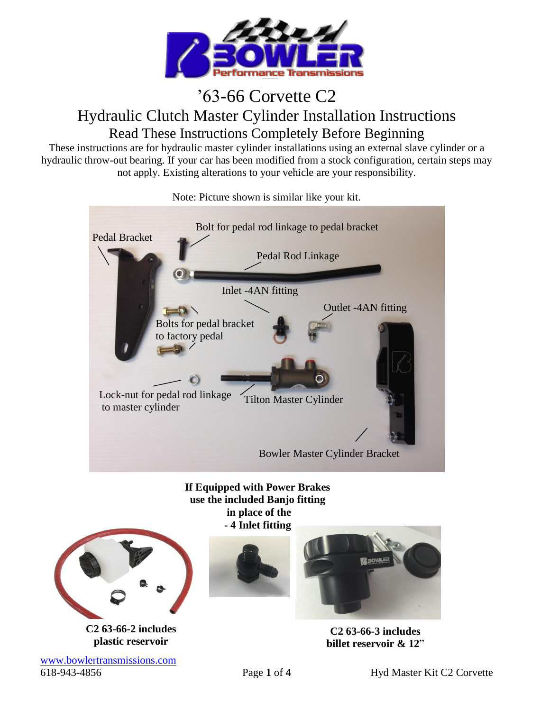

## '63-66 Corvette C2 Hydraulic Clutch Master Cylinder Installation Instructions Read These Instructions Completely Before Beginning

These instructions are for hydraulic master cylinder installations using an external slave cylinder or a hydraulic throw-out bearing. If your car has been modified from a stock configuration, certain steps may not apply. Existing alterations to your vehicle are your responsibility.



Note: Picture shown is similar like your kit.

**If Equipped with Power Brakes use the included Banjo fitting in place of the - 4 Inlet fitting**



**C2 63-66-2 includes plastic reservoir**

[www.bowlertransmissions.com](http://www.bowlertransmissions.com/) 618-943-4856 Page **1** of **4** Hyd Master Kit C2 Corvette





**C2 63-66-3 includes billet reservoir & 12**"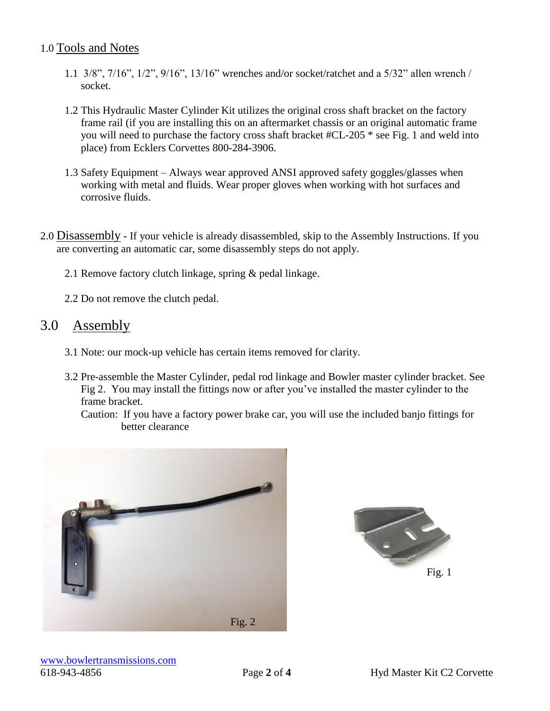## 1.0 Tools and Notes

- 1.1 3/8", 7/16", 1/2", 9/16", 13/16" wrenches and/or socket/ratchet and a 5/32" allen wrench / socket.
- 1.2 This Hydraulic Master Cylinder Kit utilizes the original cross shaft bracket on the factory frame rail (if you are installing this on an aftermarket chassis or an original automatic frame you will need to purchase the factory cross shaft bracket #CL-205 \* see Fig. 1 and weld into place) from Ecklers Corvettes 800-284-3906.
- 1.3 Safety Equipment Always wear approved ANSI approved safety goggles/glasses when working with metal and fluids. Wear proper gloves when working with hot surfaces and corrosive fluids.
- 2.0 Disassembly If your vehicle is already disassembled, skip to the Assembly Instructions. If you are converting an automatic car, some disassembly steps do not apply.
	- 2.1 Remove factory clutch linkage, spring & pedal linkage.
	- 2.2 Do not remove the clutch pedal.

## 3.0 Assembly

- 3.1 Note: our mock-up vehicle has certain items removed for clarity.
- 3.2 Pre-assemble the Master Cylinder, pedal rod linkage and Bowler master cylinder bracket. See Fig 2. You may install the fittings now or after you've installed the master cylinder to the frame bracket.

 Caution: If you have a factory power brake car, you will use the included banjo fittings for better clearance



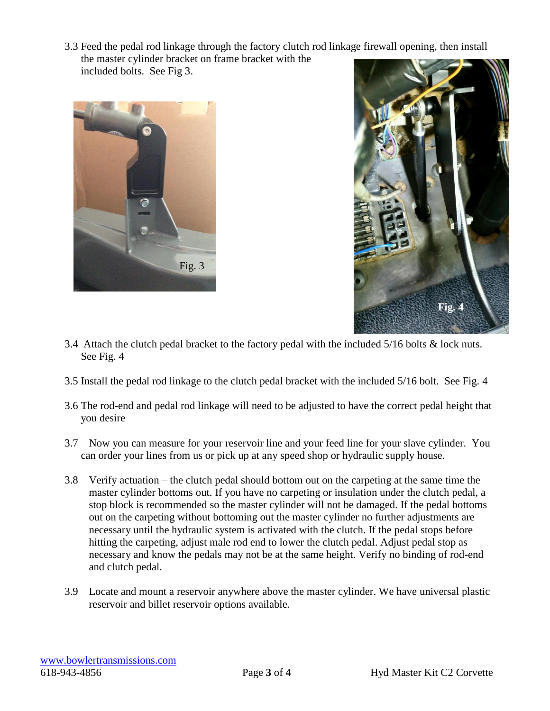3.3 Feed the pedal rod linkage through the factory clutch rod linkage firewall opening, then install the master cylinder bracket on frame bracket with the included bolts. See Fig 3.





- 3.4 Attach the clutch pedal bracket to the factory pedal with the included 5/16 bolts & lock nuts. See Fig. 4
- 3.5 Install the pedal rod linkage to the clutch pedal bracket with the included 5/16 bolt. See Fig. 4
- 3.6 The rod-end and pedal rod linkage will need to be adjusted to have the correct pedal height that you desire
- 3.7 Now you can measure for your reservoir line and your feed line for your slave cylinder. You can order your lines from us or pick up at any speed shop or hydraulic supply house.
- 3.8 Verify actuation the clutch pedal should bottom out on the carpeting at the same time the master cylinder bottoms out. If you have no carpeting or insulation under the clutch pedal, a stop block is recommended so the master cylinder will not be damaged. If the pedal bottoms out on the carpeting without bottoming out the master cylinder no further adjustments are necessary until the hydraulic system is activated with the clutch. If the pedal stops before hitting the carpeting, adjust male rod end to lower the clutch pedal. Adjust pedal stop as necessary and know the pedals may not be at the same height. Verify no binding of rod-end and clutch pedal.
- 3.9 Locate and mount a reservoir anywhere above the master cylinder. We have universal plastic reservoir and billet reservoir options available.